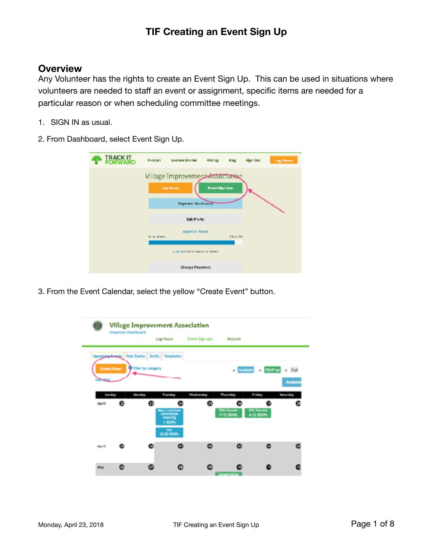#### **Overview**

Any Volunteer has the rights to create an Event Sign Up. This can be used in situations where volunteers are needed to staff an event or assignment, specific items are needed for a particular reason or when scheduling committee meetings.

1. SIGN IN as usual.

2. From Dashboard, select Event Sign Up.

| <b>IRAGKIL</b> | <b>Product</b>           | Success Stories                                                                    | Pricing                | alog     | Sign Out | Log Hours |
|----------------|--------------------------|------------------------------------------------------------------------------------|------------------------|----------|----------|-----------|
|                |                          | Village Improvement Association<br><b>Lag Hauss</b><br><b>Departem Distributor</b> | <b>Event Stars Ups</b> |          |          |           |
|                |                          | Edit Profile                                                                       |                        |          |          |           |
|                | <b>Michael Generical</b> | export all hours.                                                                  |                        | 28.61.25 |          |           |
|                |                          | ungrade for more solumeers.                                                        |                        |          |          |           |
|                |                          | Change Peateway                                                                    |                        |          |          |           |

3. From the Event Calendar, select the yellow "Create Event" button.

|                              | <b>Organizer Dashboard</b> |                                              | <b>Village Improvement Association</b>                                         |                       |                                        |                            |                |
|------------------------------|----------------------------|----------------------------------------------|--------------------------------------------------------------------------------|-----------------------|----------------------------------------|----------------------------|----------------|
|                              |                            |                                              | Log Hours                                                                      | <b>Event Sign-ups</b> | Account                                |                            |                |
|                              |                            | Uponging-Events Past Events Drufts Templates |                                                                                |                       |                                        |                            |                |
| Create Event                 |                            | <b>Titler</b> by category                    |                                                                                |                       | <b>z</b> Available                     | a RNP'ed                   | v Full         |
| <b><i><u>COMMONS</u></i></b> |                            |                                              |                                                                                |                       |                                        |                            |                |
|                              |                            |                                              |                                                                                |                       |                                        |                            | <b>Availab</b> |
| Sunday                       |                            | Munday                                       | Tuesday                                                                        | Wednesday             | <b>Thursday</b>                        | Friday                     | Senardey       |
| April                        | ⋒                          | ത                                            | ⊕                                                                              | ω                     |                                        |                            |                |
|                              |                            |                                              | <b>May Luncheron</b><br>committee<br>meeting<br>1 RSVPs<br>ters.<br>0/20 RIVPs |                       | <b>DOI Divine</b><br><b>7/12 RSVRs</b> | DIH Drahamit<br>4.12 RSVPs |                |
|                              |                            |                                              |                                                                                |                       |                                        |                            |                |
| <b>April</b>                 |                            |                                              | Θ                                                                              | ຶ                     |                                        |                            |                |
| Mary                         | ø                          | ⊕                                            | ര                                                                              |                       |                                        |                            |                |
|                              |                            |                                              |                                                                                |                       | <b>Conservation</b>                    |                            |                |

۰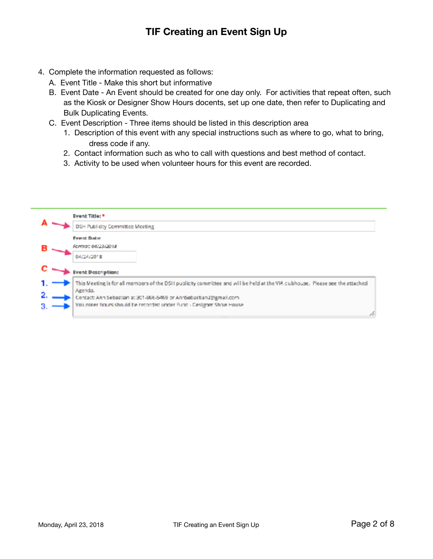- 4. Complete the information requested as follows:
	- A. Event Title Make this short but informative
	- B. Event Date An Event should be created for one day only. For activities that repeat often, such as the Kiosk or Designer Show Hours docents, set up one date, then refer to Duplicating and Bulk Duplicating Events.
	- C. Event Description Three items should be listed in this description area
		- 1. Description of this event with any special instructions such as where to go, what to bring, dress code if any.
		- 2. Contact information such as who to call with questions and best method of contact.
		- 3. Activity to be used when volunteer hours for this event are recorded.

|    | Event Title: *                                                                                                                |
|----|-------------------------------------------------------------------------------------------------------------------------------|
|    | DSH Publicity Committee Meeting                                                                                               |
|    | <b>Fvent Date:</b>                                                                                                            |
| в  | Forma: 04/23/2018                                                                                                             |
|    | 04/24/2018                                                                                                                    |
|    | <b>Event Description:</b>                                                                                                     |
|    | This Meeting is for all members of the DSH publicity committee and will be held at the VIA clubhouse. Please see the attached |
|    | Agenda.<br>Contact: Ann Sebastian at 301-866-5469 or AnnSebastian2@gmail.com                                                  |
| З. | Volunteer hours should be recorded under Fund - Designer Show House                                                           |
|    |                                                                                                                               |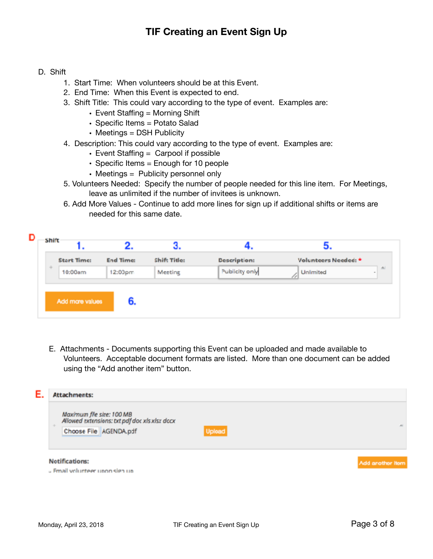#### D. Shift

- 1. Start Time: When volunteers should be at this Event.
- 2. End Time: When this Event is expected to end.
- 3. Shift Title: This could vary according to the type of event. Examples are:
	- $\cdot$  Event Staffing = Morning Shift
	- Specific Items = Potato Salad
	- Meetings = DSH Publicity
- 4. Description: This could vary according to the type of event. Examples are:
	- Event Staffing = Carpool if possible
	- Specific Items = Enough for 10 people
	- Meetings = Publicity personnel only
- 5. Volunteers Needed: Specify the number of people needed for this line item. For Meetings, leave as unlimited if the number of invitees is unknown.
- 6. Add More Values Continue to add more lines for sign up if additional shifts or items are needed for this same date.

|     | <b>Start Time:</b> | <b>End Time:</b>  | Shift Title: | <b>Description:</b> | Volunteers Needed: * |             |
|-----|--------------------|-------------------|--------------|---------------------|----------------------|-------------|
| $+$ | 10:00am            | $12:00 \text{pm}$ | Meeting      | Publicity only      | Unlimited            | n<br>$\sim$ |
|     |                    |                   |              |                     |                      |             |
|     | Add more values    |                   |              |                     |                      |             |

 E. Attachments - Documents supporting this Event can be uploaded and made available to Volunteers. Acceptable document formats are listed. More than one document can be added using the "Add another item" button.

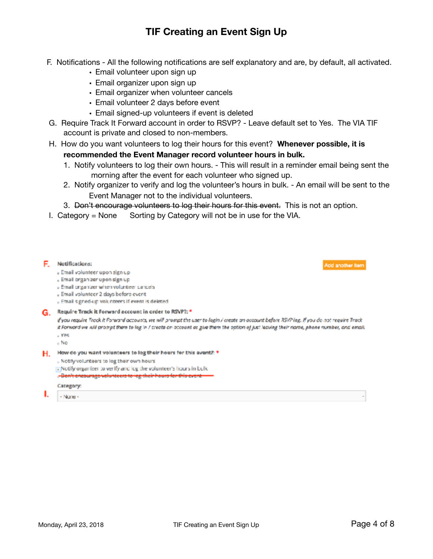- F. Notifications All the following notifications are self explanatory and are, by default, all activated.
	- Email volunteer upon sign up
	- Email organizer upon sign up
	- Email organizer when volunteer cancels
	- Email volunteer 2 days before event
	- Email signed-up volunteers if event is deleted
- G. Require Track It Forward account in order to RSVP? Leave default set to Yes. The VIA TIF account is private and closed to non-members.
- H. How do you want volunteers to log their hours for this event? **Whenever possible, it is recommended the Event Manager record volunteer hours in bulk.** 
	- 1. Notify volunteers to log their own hours. This will result in a reminder email being sent the morning after the event for each volunteer who signed up.
	- 2. Notify organizer to verify and log the volunteer's hours in bulk. An email will be sent to the Event Manager not to the individual volunteers.
	- 3. Don't encourage volunteers to log their hours for this event. This is not an option.
- I. Category  $=$  None Sorting by Category will not be in use for the VIA.

|    | Notifications:<br>Add another item<br>» Email volunteer upon sign up<br>. Email organizer upon sign up<br>J Email organizer when volunteer cancels<br>. Email volunteer 2 days before event<br>. Email signed-up volunteers if event is deleted                                                                                                                      |  |
|----|----------------------------------------------------------------------------------------------------------------------------------------------------------------------------------------------------------------------------------------------------------------------------------------------------------------------------------------------------------------------|--|
| G. | Require Track it Forward account in order to RSVP?: *<br>if you require Track it Forward accounts, we will prompt the user to login / create an account before RSVP ing. If you do not require Track<br>it Forward we will prompt them to log in I create on account as give them the aption of just leaving their name, phone number, and email.<br>$+ YPS$<br>- No |  |
| Н. | How do you want volunteers to log their hours for this avent?: *<br>. Notify volunteers to log their own hours<br><b>The Notify organizer to verify and log the volunteer's hours in bulk</b><br>. Ben't encourage volunteers to log their hours for this<br>Category:                                                                                               |  |
|    | - Name -                                                                                                                                                                                                                                                                                                                                                             |  |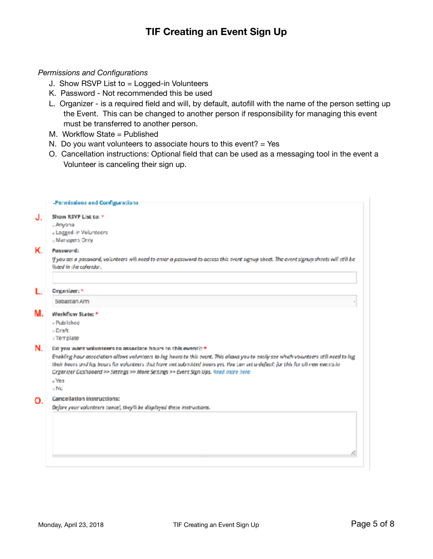#### *Permissions and Configurations*

- J. Show RSVP List to = Logged-in Volunteers
- K. Password Not recommended this be used
- L. Organizer is a required field and will, by default, autofill with the name of the person setting up the Event. This can be changed to another person if responsibility for managing this event must be transferred to another person.
- M. Workflow State = Published
- N. Do you want volunteers to associate hours to this event?  $=$  Yes
- O. Cancellation instructions: Optional field that can be used as a messaging tool in the event a Volunteer is canceling their sign up.

| Show RSVP List to: *<br>- Anyone<br>- Logged-in Volunteers<br>» Managers Only                                                                                                                                                                                                                                                                                                                                                                       |
|-----------------------------------------------------------------------------------------------------------------------------------------------------------------------------------------------------------------------------------------------------------------------------------------------------------------------------------------------------------------------------------------------------------------------------------------------------|
| Password:                                                                                                                                                                                                                                                                                                                                                                                                                                           |
| If you set a password, volunteers will need to enter a password to access this event signup sheet. The event signup sheets will still be<br>listed in the calendar.                                                                                                                                                                                                                                                                                 |
| Organizer: *                                                                                                                                                                                                                                                                                                                                                                                                                                        |
| Sebastian Ann                                                                                                                                                                                                                                                                                                                                                                                                                                       |
| Workflow State: *<br>- Published<br>- Draft<br>» Template                                                                                                                                                                                                                                                                                                                                                                                           |
| Do you want volunteers to associate hours to this event?: *<br>Enabling hour association allows volunteers to log hours to this event. This oliaws you to easily see which volunteers still need to log<br>their hours and log hours for volunteers that have not submitted hours yet. You can set a default for this for all new events in<br>Crganizer Dashboard >> Settings >> More Seitings >> Event Sign Ups. Read more here.<br>- Yes<br>» No |
| <b>Cancellation Instructions:</b><br>Defore your volunteers cancel, they'll be displayed these instructions.                                                                                                                                                                                                                                                                                                                                        |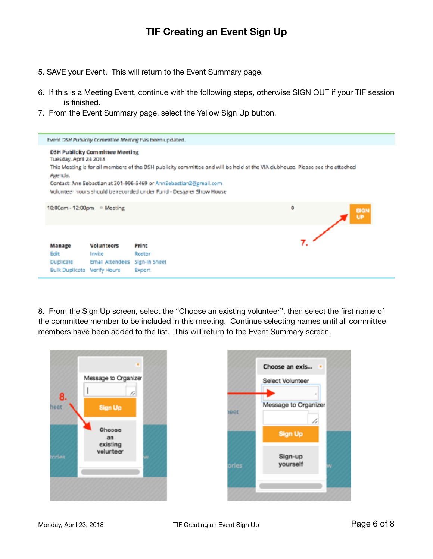- 5. SAVE your Event. This will return to the Event Summary page.
- 6. If this is a Meeting Event, continue with the following steps, otherwise SIGN OUT if your TIF session is finished.
- 7. From the Event Summary page, select the Yellow Sign Up button.



8. From the Sign Up screen, select the "Choose an existing volunteer", then select the first name of the committee member to be included in this meeting. Continue selecting names until all committee members have been added to the list. This will return to the Event Summary screen.



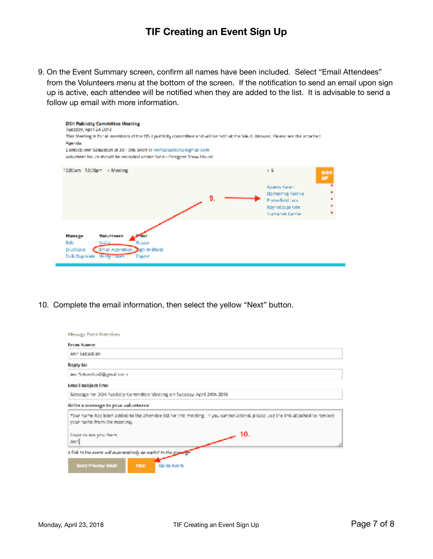9. On the Event Summary screen, confirm all names have been included. Select "Email Attendees" from the Volunteers menu at the bottom of the screen. If the notification to send an email upon sign up is active, each attendee will be notified when they are added to the list. It is advisable to send a follow up email with more information.



10. Complete the email information, then select the yellow "Next" button.

| Message Event Attendaes                                                                                                                                     |
|-------------------------------------------------------------------------------------------------------------------------------------------------------------|
| From Name:                                                                                                                                                  |
| Ann Sebastian                                                                                                                                               |
| Reply to:                                                                                                                                                   |
| AnnSebastian2@gmail.com                                                                                                                                     |
| Email subject line:                                                                                                                                         |
| Message for DSH Publicity Committee Meeting on Tuesday, April 24th 2018.                                                                                    |
| Write a message to your volunteers:                                                                                                                         |
| Your name has been added to the attendee list for this meeting. If you cannot attend, please use the link attached to remove<br>your name from the meeting. |
| -10.<br>Hope to see you there.<br>Anni                                                                                                                      |
| A fink to the event will automotionily be added to the meaning.                                                                                             |
| Send Previow Email<br><b>Nort</b><br>Go to event                                                                                                            |